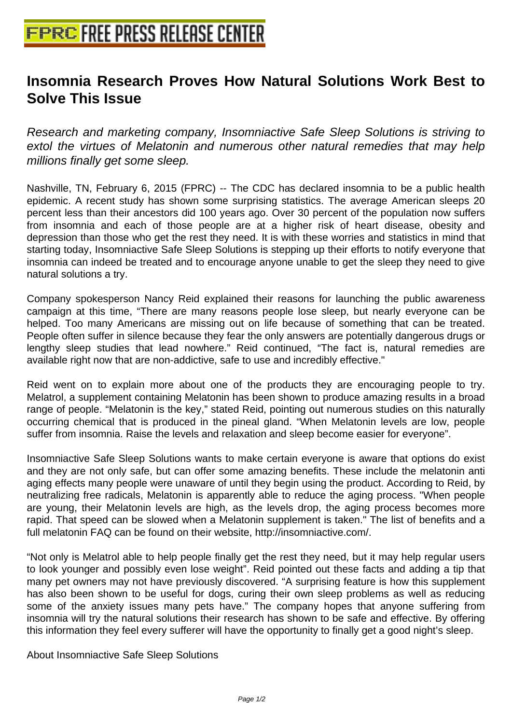## **[Insomnia Research Proves How N](http://www.free-press-release-center.info)atural Solutions Work Best to Solve This Issue**

Research and marketing company, Insomniactive Safe Sleep Solutions is striving to extol the virtues of Melatonin and numerous other natural remedies that may help millions finally get some sleep.

Nashville, TN, February 6, 2015 (FPRC) -- The CDC has declared insomnia to be a public health epidemic. A recent study has shown some surprising statistics. The average American sleeps 20 percent less than their ancestors did 100 years ago. Over 30 percent of the population now suffers from insomnia and each of those people are at a higher risk of heart disease, obesity and depression than those who get the rest they need. It is with these worries and statistics in mind that starting today, Insomniactive Safe Sleep Solutions is stepping up their efforts to notify everyone that insomnia can indeed be treated and to encourage anyone unable to get the sleep they need to give natural solutions a try.

Company spokesperson Nancy Reid explained their reasons for launching the public awareness campaign at this time, "There are many reasons people lose sleep, but nearly everyone can be helped. Too many Americans are missing out on life because of something that can be treated. People often suffer in silence because they fear the only answers are potentially dangerous drugs or lengthy sleep studies that lead nowhere." Reid continued, "The fact is, natural remedies are available right now that are non-addictive, safe to use and incredibly effective."

Reid went on to explain more about one of the products they are encouraging people to try. Melatrol, a supplement containing Melatonin has been shown to produce amazing results in a broad range of people. "Melatonin is the key," stated Reid, pointing out numerous studies on this naturally occurring chemical that is produced in the pineal gland. "When Melatonin levels are low, people suffer from insomnia. Raise the levels and relaxation and sleep become easier for everyone".

Insomniactive Safe Sleep Solutions wants to make certain everyone is aware that options do exist and they are not only safe, but can offer some amazing benefits. These include the melatonin anti aging effects many people were unaware of until they begin using the product. According to Reid, by neutralizing free radicals, Melatonin is apparently able to reduce the aging process. "When people are young, their Melatonin levels are high, as the levels drop, the aging process becomes more rapid. That speed can be slowed when a Melatonin supplement is taken." The list of benefits and a full melatonin FAQ can be found on their website, http://insomniactive.com/.

"Not only is Melatrol able to help people finally get the rest they need, but it may help regular users to look younger and possibly even lose weight". Reid pointed out these facts and adding a tip that many pet owners may not have previously discovered. "A surprising feature is how this supplement has also been shown to be useful for dogs, curing their own sleep problems as well as reducing some of the anxiety issues many pets have." The company hopes that anyone suffering from insomnia will try the natural solutions their research has shown to be safe and effective. By offering this information they feel every sufferer will have the opportunity to finally get a good night's sleep.

About Insomniactive Safe Sleep Solutions